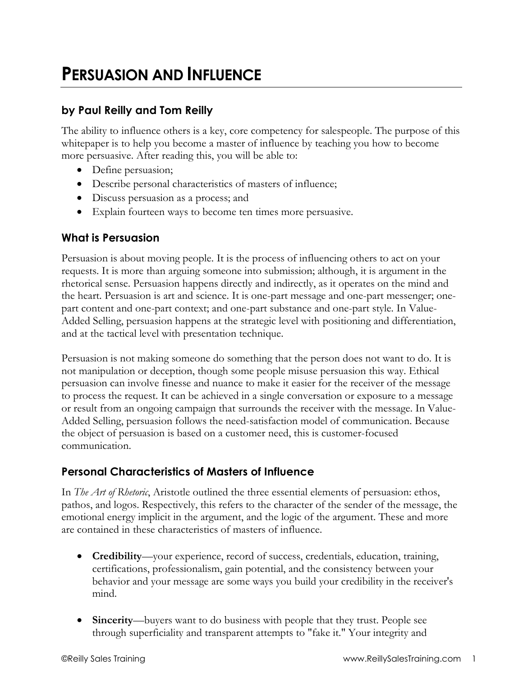# **PERSUASION AND INFLUENCE**

# **by Paul Reilly and Tom Reilly**

The ability to influence others is a key, core competency for salespeople. The purpose of this whitepaper is to help you become a master of influence by teaching you how to become more persuasive. After reading this, you will be able to:

- Define persuasion;
- Describe personal characteristics of masters of influence;
- Discuss persuasion as a process; and
- Explain fourteen ways to become ten times more persuasive.

## **What is Persuasion**

Persuasion is about moving people. It is the process of influencing others to act on your requests. It is more than arguing someone into submission; although, it is argument in the rhetorical sense. Persuasion happens directly and indirectly, as it operates on the mind and the heart. Persuasion is art and science. It is one-part message and one-part messenger; onepart content and one-part context; and one-part substance and one-part style. In Value-Added Selling, persuasion happens at the strategic level with positioning and differentiation, and at the tactical level with presentation technique.

Persuasion is not making someone do something that the person does not want to do. It is not manipulation or deception, though some people misuse persuasion this way. Ethical persuasion can involve finesse and nuance to make it easier for the receiver of the message to process the request. It can be achieved in a single conversation or exposure to a message or result from an ongoing campaign that surrounds the receiver with the message. In Value-Added Selling, persuasion follows the need-satisfaction model of communication. Because the object of persuasion is based on a customer need, this is customer-focused communication.

## **Personal Characteristics of Masters of Influence**

In *The Art of Rhetoric*, Aristotle outlined the three essential elements of persuasion: ethos, pathos, and logos. Respectively, this refers to the character of the sender of the message, the emotional energy implicit in the argument, and the logic of the argument. These and more are contained in these characteristics of masters of influence.

- **Credibility**—your experience, record of success, credentials, education, training, certifications, professionalism, gain potential, and the consistency between your behavior and your message are some ways you build your credibility in the receiver's mind.
- **Sincerity—buyers** want to do business with people that they trust. People see through superficiality and transparent attempts to "fake it." Your integrity and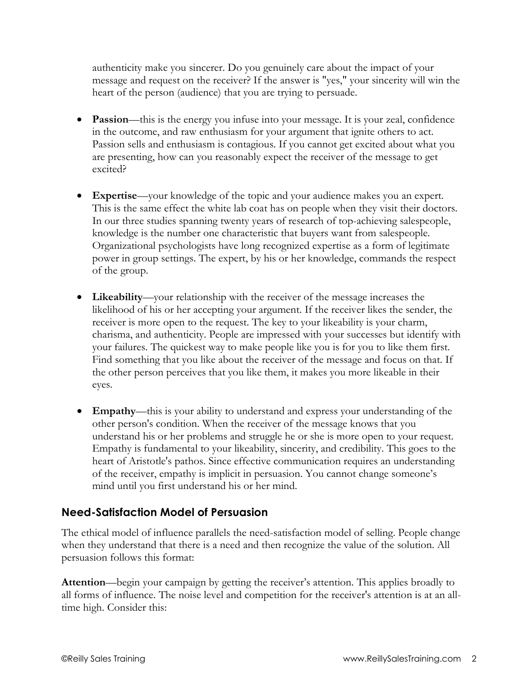authenticity make you sincerer. Do you genuinely care about the impact of your message and request on the receiver? If the answer is "yes," your sincerity will win the heart of the person (audience) that you are trying to persuade.

- **Passion—**this is the energy you infuse into your message. It is your zeal, confidence in the outcome, and raw enthusiasm for your argument that ignite others to act. Passion sells and enthusiasm is contagious. If you cannot get excited about what you are presenting, how can you reasonably expect the receiver of the message to get excited?
- **Expertise**—your knowledge of the topic and your audience makes you an expert. This is the same effect the white lab coat has on people when they visit their doctors. In our three studies spanning twenty years of research of top-achieving salespeople, knowledge is the number one characteristic that buyers want from salespeople. Organizational psychologists have long recognized expertise as a form of legitimate power in group settings. The expert, by his or her knowledge, commands the respect of the group.
- **Likeability**—your relationship with the receiver of the message increases the likelihood of his or her accepting your argument. If the receiver likes the sender, the receiver is more open to the request. The key to your likeability is your charm, charisma, and authenticity. People are impressed with your successes but identify with your failures. The quickest way to make people like you is for you to like them first. Find something that you like about the receiver of the message and focus on that. If the other person perceives that you like them, it makes you more likeable in their eyes.
- **Empathy**—this is your ability to understand and express your understanding of the other person's condition. When the receiver of the message knows that you understand his or her problems and struggle he or she is more open to your request. Empathy is fundamental to your likeability, sincerity, and credibility. This goes to the heart of Aristotle's pathos. Since effective communication requires an understanding of the receiver, empathy is implicit in persuasion. You cannot change someone's mind until you first understand his or her mind.

## **Need-Satisfaction Model of Persuasion**

The ethical model of influence parallels the need-satisfaction model of selling. People change when they understand that there is a need and then recognize the value of the solution. All persuasion follows this format:

**Attention**—begin your campaign by getting the receiver's attention. This applies broadly to all forms of influence. The noise level and competition for the receiver's attention is at an alltime high. Consider this: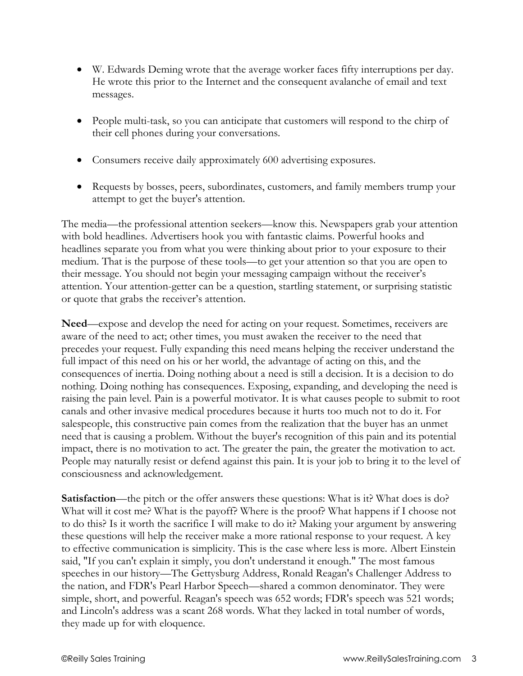- W. Edwards Deming wrote that the average worker faces fifty interruptions per day. He wrote this prior to the Internet and the consequent avalanche of email and text messages.
- People multi-task, so you can anticipate that customers will respond to the chirp of their cell phones during your conversations.
- Consumers receive daily approximately 600 advertising exposures.
- Requests by bosses, peers, subordinates, customers, and family members trump your attempt to get the buyer's attention.

The media—the professional attention seekers—know this. Newspapers grab your attention with bold headlines. Advertisers hook you with fantastic claims. Powerful hooks and headlines separate you from what you were thinking about prior to your exposure to their medium. That is the purpose of these tools—to get your attention so that you are open to their message. You should not begin your messaging campaign without the receiver's attention. Your attention-getter can be a question, startling statement, or surprising statistic or quote that grabs the receiver's attention.

**Need**—expose and develop the need for acting on your request. Sometimes, receivers are aware of the need to act; other times, you must awaken the receiver to the need that precedes your request. Fully expanding this need means helping the receiver understand the full impact of this need on his or her world, the advantage of acting on this, and the consequences of inertia. Doing nothing about a need is still a decision. It is a decision to do nothing. Doing nothing has consequences. Exposing, expanding, and developing the need is raising the pain level. Pain is a powerful motivator. It is what causes people to submit to root canals and other invasive medical procedures because it hurts too much not to do it. For salespeople, this constructive pain comes from the realization that the buyer has an unmet need that is causing a problem. Without the buyer's recognition of this pain and its potential impact, there is no motivation to act. The greater the pain, the greater the motivation to act. People may naturally resist or defend against this pain. It is your job to bring it to the level of consciousness and acknowledgement.

**Satisfaction—the pitch or the offer answers these questions: What is it? What does is do?** What will it cost me? What is the payoff? Where is the proof? What happens if I choose not to do this? Is it worth the sacrifice I will make to do it? Making your argument by answering these questions will help the receiver make a more rational response to your request. A key to effective communication is simplicity. This is the case where less is more. Albert Einstein said, "If you can't explain it simply, you don't understand it enough." The most famous speeches in our history—The Gettysburg Address, Ronald Reagan's Challenger Address to the nation, and FDR's Pearl Harbor Speech—shared a common denominator. They were simple, short, and powerful. Reagan's speech was 652 words; FDR's speech was 521 words; and Lincoln's address was a scant 268 words. What they lacked in total number of words, they made up for with eloquence.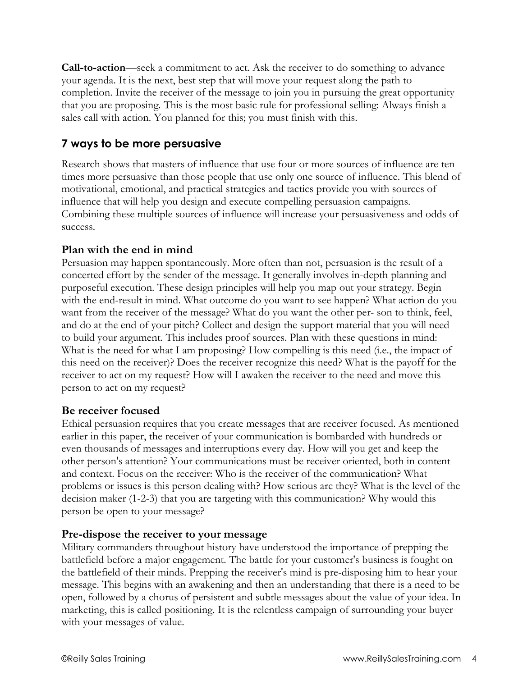**Call-to-action**—seek a commitment to act. Ask the receiver to do something to advance your agenda. It is the next, best step that will move your request along the path to completion. Invite the receiver of the message to join you in pursuing the great opportunity that you are proposing. This is the most basic rule for professional selling: Always finish a sales call with action. You planned for this; you must finish with this.

# **7 ways to be more persuasive**

Research shows that masters of influence that use four or more sources of influence are ten times more persuasive than those people that use only one source of influence. This blend of motivational, emotional, and practical strategies and tactics provide you with sources of influence that will help you design and execute compelling persuasion campaigns. Combining these multiple sources of influence will increase your persuasiveness and odds of success.

## **Plan with the end in mind**

Persuasion may happen spontaneously. More often than not, persuasion is the result of a concerted effort by the sender of the message. It generally involves in-depth planning and purposeful execution. These design principles will help you map out your strategy. Begin with the end-result in mind. What outcome do you want to see happen? What action do you want from the receiver of the message? What do you want the other per- son to think, feel, and do at the end of your pitch? Collect and design the support material that you will need to build your argument. This includes proof sources. Plan with these questions in mind: What is the need for what I am proposing? How compelling is this need (i.e., the impact of this need on the receiver)? Does the receiver recognize this need? What is the payoff for the receiver to act on my request? How will I awaken the receiver to the need and move this person to act on my request?

### **Be receiver focused**

Ethical persuasion requires that you create messages that are receiver focused. As mentioned earlier in this paper, the receiver of your communication is bombarded with hundreds or even thousands of messages and interruptions every day. How will you get and keep the other person's attention? Your communications must be receiver oriented, both in content and context. Focus on the receiver: Who is the receiver of the communication? What problems or issues is this person dealing with? How serious are they? What is the level of the decision maker (1-2-3) that you are targeting with this communication? Why would this person be open to your message?

### **Pre-dispose the receiver to your message**

Military commanders throughout history have understood the importance of prepping the battlefield before a major engagement. The battle for your customer's business is fought on the battlefield of their minds. Prepping the receiver's mind is pre-disposing him to hear your message. This begins with an awakening and then an understanding that there is a need to be open, followed by a chorus of persistent and subtle messages about the value of your idea. In marketing, this is called positioning. It is the relentless campaign of surrounding your buyer with your messages of value.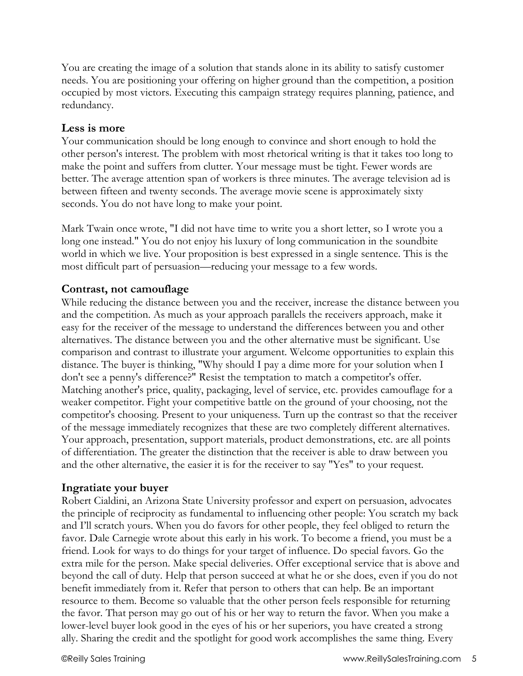You are creating the image of a solution that stands alone in its ability to satisfy customer needs. You are positioning your offering on higher ground than the competition, a position occupied by most victors. Executing this campaign strategy requires planning, patience, and redundancy.

#### **Less is more**

Your communication should be long enough to convince and short enough to hold the other person's interest. The problem with most rhetorical writing is that it takes too long to make the point and suffers from clutter. Your message must be tight. Fewer words are better. The average attention span of workers is three minutes. The average television ad is between fifteen and twenty seconds. The average movie scene is approximately sixty seconds. You do not have long to make your point.

Mark Twain once wrote, "I did not have time to write you a short letter, so I wrote you a long one instead." You do not enjoy his luxury of long communication in the soundbite world in which we live. Your proposition is best expressed in a single sentence. This is the most difficult part of persuasion—reducing your message to a few words.

### **Contrast, not camouflage**

While reducing the distance between you and the receiver, increase the distance between you and the competition. As much as your approach parallels the receivers approach, make it easy for the receiver of the message to understand the differences between you and other alternatives. The distance between you and the other alternative must be significant. Use comparison and contrast to illustrate your argument. Welcome opportunities to explain this distance. The buyer is thinking, "Why should I pay a dime more for your solution when I don't see a penny's difference?" Resist the temptation to match a competitor's offer. Matching another's price, quality, packaging, level of service, etc. provides camouflage for a weaker competitor. Fight your competitive battle on the ground of your choosing, not the competitor's choosing. Present to your uniqueness. Turn up the contrast so that the receiver of the message immediately recognizes that these are two completely different alternatives. Your approach, presentation, support materials, product demonstrations, etc. are all points of differentiation. The greater the distinction that the receiver is able to draw between you and the other alternative, the easier it is for the receiver to say "Yes" to your request.

#### **Ingratiate your buyer**

Robert Cialdini, an Arizona State University professor and expert on persuasion, advocates the principle of reciprocity as fundamental to influencing other people: You scratch my back and I'll scratch yours. When you do favors for other people, they feel obliged to return the favor. Dale Carnegie wrote about this early in his work. To become a friend, you must be a friend. Look for ways to do things for your target of influence. Do special favors. Go the extra mile for the person. Make special deliveries. Offer exceptional service that is above and beyond the call of duty. Help that person succeed at what he or she does, even if you do not benefit immediately from it. Refer that person to others that can help. Be an important resource to them. Become so valuable that the other person feels responsible for returning the favor. That person may go out of his or her way to return the favor. When you make a lower-level buyer look good in the eyes of his or her superiors, you have created a strong ally. Sharing the credit and the spotlight for good work accomplishes the same thing. Every